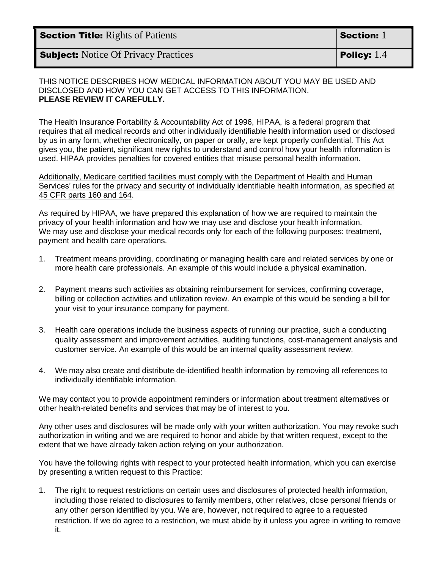| <b>Section Title:</b> Rights of Patients    | Section: 1           |
|---------------------------------------------|----------------------|
| <b>Subject:</b> Notice Of Privacy Practices | <b>Policy:</b> $1.4$ |

## THIS NOTICE DESCRIBES HOW MEDICAL INFORMATION ABOUT YOU MAY BE USED AND DISCLOSED AND HOW YOU CAN GET ACCESS TO THIS INFORMATION. **PLEASE REVIEW IT CAREFULLY.**

The Health Insurance Portability & Accountability Act of 1996, HIPAA, is a federal program that requires that all medical records and other individually identifiable health information used or disclosed by us in any form, whether electronically, on paper or orally, are kept properly confidential. This Act gives you, the patient, significant new rights to understand and control how your health information is used. HIPAA provides penalties for covered entities that misuse personal health information.

Additionally, Medicare certified facilities must comply with the Department of Health and Human Services' rules for the privacy and security of individually identifiable health information, as specified at 45 CFR parts 160 and 164.

As required by HIPAA, we have prepared this explanation of how we are required to maintain the privacy of your health information and how we may use and disclose your health information. We may use and disclose your medical records only for each of the following purposes: treatment, payment and health care operations.

- 1. Treatment means providing, coordinating or managing health care and related services by one or more health care professionals. An example of this would include a physical examination.
- 2. Payment means such activities as obtaining reimbursement for services, confirming coverage, billing or collection activities and utilization review. An example of this would be sending a bill for your visit to your insurance company for payment.
- 3. Health care operations include the business aspects of running our practice, such a conducting quality assessment and improvement activities, auditing functions, cost-management analysis and customer service. An example of this would be an internal quality assessment review.
- 4. We may also create and distribute de-identified health information by removing all references to individually identifiable information.

We may contact you to provide appointment reminders or information about treatment alternatives or other health-related benefits and services that may be of interest to you.

Any other uses and disclosures will be made only with your written authorization. You may revoke such authorization in writing and we are required to honor and abide by that written request, except to the extent that we have already taken action relying on your authorization.

You have the following rights with respect to your protected health information, which you can exercise by presenting a written request to this Practice:

1. The right to request restrictions on certain uses and disclosures of protected health information, including those related to disclosures to family members, other relatives, close personal friends or any other person identified by you. We are, however, not required to agree to a requested restriction. If we do agree to a restriction, we must abide by it unless you agree in writing to remove it.